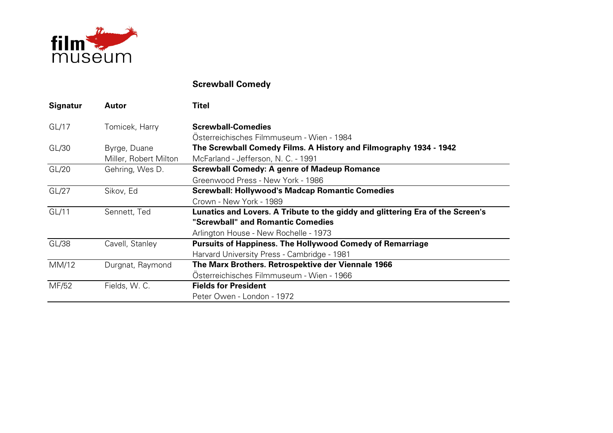

## **Screwball Comedy**

| <b>Signatur</b> | Autor                 | <b>Titel</b>                                                                   |
|-----------------|-----------------------|--------------------------------------------------------------------------------|
| GL/17           | Tomicek, Harry        | <b>Screwball-Comedies</b>                                                      |
|                 |                       | Österreichisches Filmmuseum - Wien - 1984                                      |
| GL/30           | Byrge, Duane          | The Screwball Comedy Films. A History and Filmography 1934 - 1942              |
|                 | Miller, Robert Milton | McFarland - Jefferson, N. C. - 1991                                            |
| GL/20           | Gehring, Wes D.       | <b>Screwball Comedy: A genre of Madeup Romance</b>                             |
|                 |                       | Greenwood Press - New York - 1986                                              |
| GL/27           | Sikov, Ed             | <b>Screwball: Hollywood's Madcap Romantic Comedies</b>                         |
|                 |                       | Crown - New York - 1989                                                        |
| GL/11           | Sennett, Ted          | Lunatics and Lovers. A Tribute to the giddy and glittering Era of the Screen's |
|                 |                       | "Screwball" and Romantic Comedies                                              |
|                 |                       | Arlington House - New Rochelle - 1973                                          |
| GL/38           | Cavell, Stanley       | <b>Pursuits of Happiness. The Hollywood Comedy of Remarriage</b>               |
|                 |                       | Harvard University Press - Cambridge - 1981                                    |
| MM/12           | Durgnat, Raymond      | The Marx Brothers. Retrospektive der Viennale 1966                             |
|                 |                       | Österreichisches Filmmuseum - Wien - 1966                                      |
| MF/52           | Fields, W. C.         | <b>Fields for President</b>                                                    |
|                 |                       | Peter Owen - London - 1972                                                     |